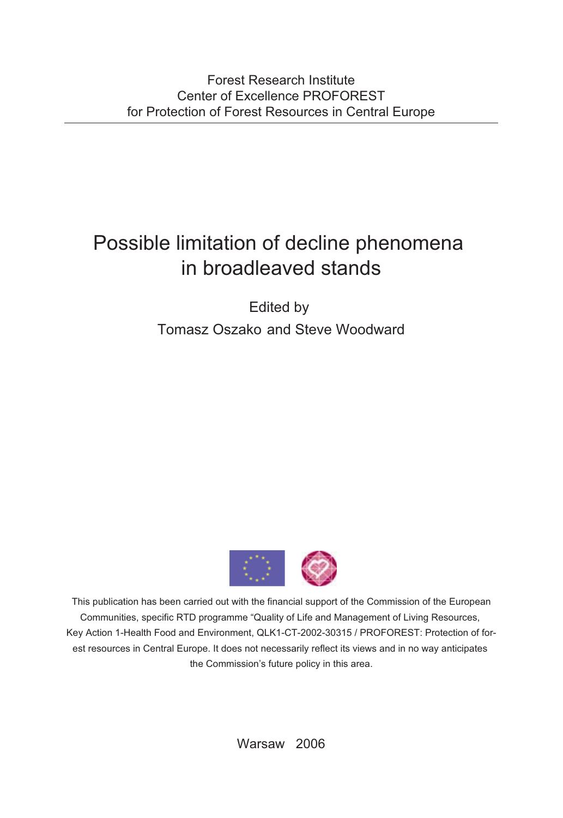# Possible limitation of decline phenomena in broadleaved stands

Edited by Tomasz Oszako and Steve Woodward



This publication has been carried out with the financial support of the Commission of the European Communities, specific RTD programme "Quality of Life and Management of Living Resources, Key Action 1-Health Food and Environment, QLK1-CT-2002-30315 / PROFOREST: Protection of forest resources in Central Europe. It does not necessarily reflect its views and in no way anticipates the Commission's future policy in this area.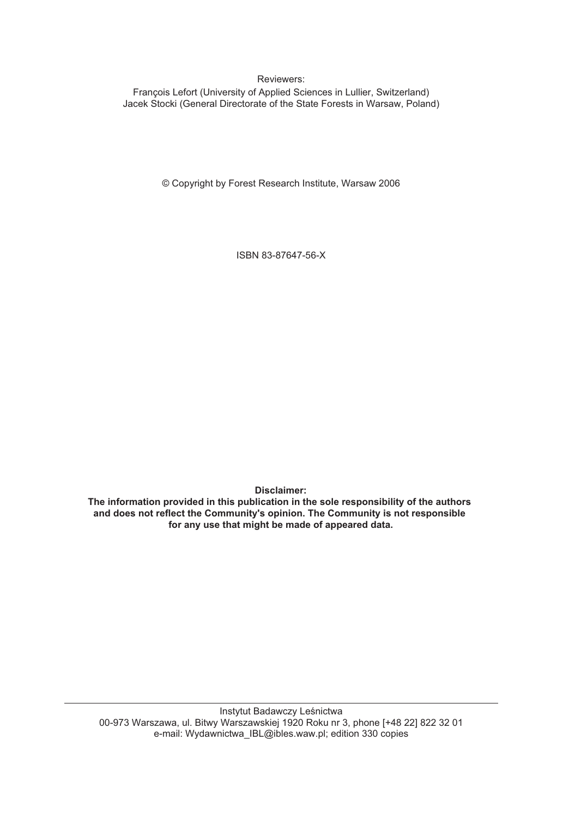Reviewers:

François Lefort (University of Applied Sciences in Lullier, Switzerland) Jacek Stocki (General Directorate of the State Forests in Warsaw, Poland)

© Copyright by Forest Research Institute, Warsaw 2006

ISBN 83-87647-56-X

**Disclaimer:**

**The information provided in this publication in the sole responsibility of the authors and does not reflect the Community's opinion. The Community is not responsible for any use that might be made of appeared data.**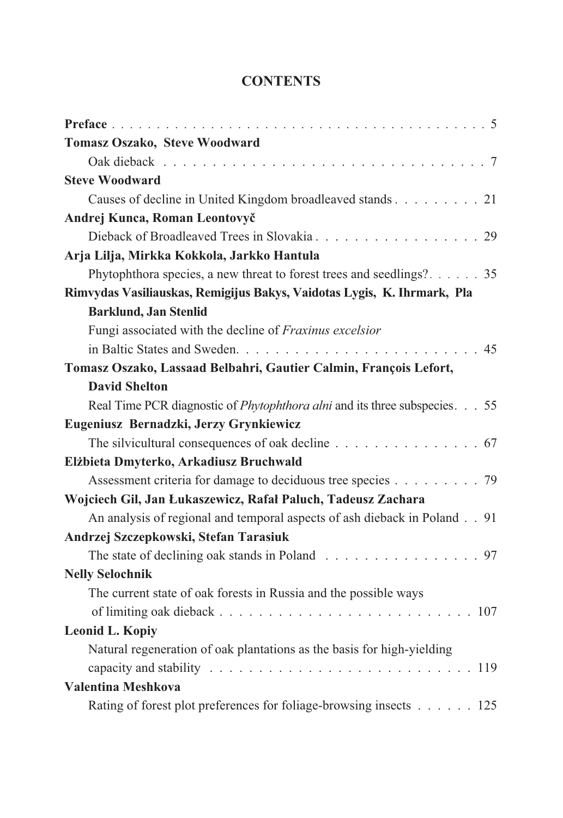## **CONTENTS**

| <b>Tomasz Oszako, Steve Woodward</b>                                                                      |  |
|-----------------------------------------------------------------------------------------------------------|--|
|                                                                                                           |  |
| <b>Steve Woodward</b>                                                                                     |  |
| Causes of decline in United Kingdom broadleaved stands 21                                                 |  |
| Andrej Kunca, Roman Leontovyč                                                                             |  |
|                                                                                                           |  |
| Arja Lilja, Mirkka Kokkola, Jarkko Hantula                                                                |  |
| Phytophthora species, a new threat to forest trees and seedlings? 35                                      |  |
| Rimvydas Vasiliauskas, Remigijus Bakys, Vaidotas Lygis, K. Ihrmark, Pla                                   |  |
| <b>Barklund, Jan Stenlid</b>                                                                              |  |
| Fungi associated with the decline of Fraxinus excelsior                                                   |  |
|                                                                                                           |  |
| Tomasz Oszako, Lassaad Belbahri, Gautier Calmin, François Lefort,                                         |  |
| <b>David Shelton</b>                                                                                      |  |
| Real Time PCR diagnostic of <i>Phytophthora alni</i> and its three subspecies. 55                         |  |
| Eugeniusz Bernadzki, Jerzy Grynkiewicz                                                                    |  |
| The silvicultural consequences of oak decline 67                                                          |  |
| Elżbieta Dmyterko, Arkadiusz Bruchwald                                                                    |  |
| Assessment criteria for damage to deciduous tree species 79                                               |  |
| Wojciech Gil, Jan Łukaszewicz, Rafał Paluch, Tadeusz Zachara                                              |  |
| An analysis of regional and temporal aspects of ash dieback in Poland 91                                  |  |
| Andrzej Szczepkowski, Stefan Tarasiuk                                                                     |  |
| The state of declining oak stands in Poland 97                                                            |  |
| <b>Nelly Selochnik</b>                                                                                    |  |
| The current state of oak forests in Russia and the possible ways                                          |  |
|                                                                                                           |  |
| <b>Leonid L. Kopiy</b>                                                                                    |  |
| Natural regeneration of oak plantations as the basis for high-yielding                                    |  |
| capacity and stability $\ldots \ldots \ldots \ldots \ldots \ldots \ldots \ldots \ldots \ldots \ldots 119$ |  |
| Valentina Meshkova                                                                                        |  |
| Rating of forest plot preferences for foliage-browsing insects 125                                        |  |
|                                                                                                           |  |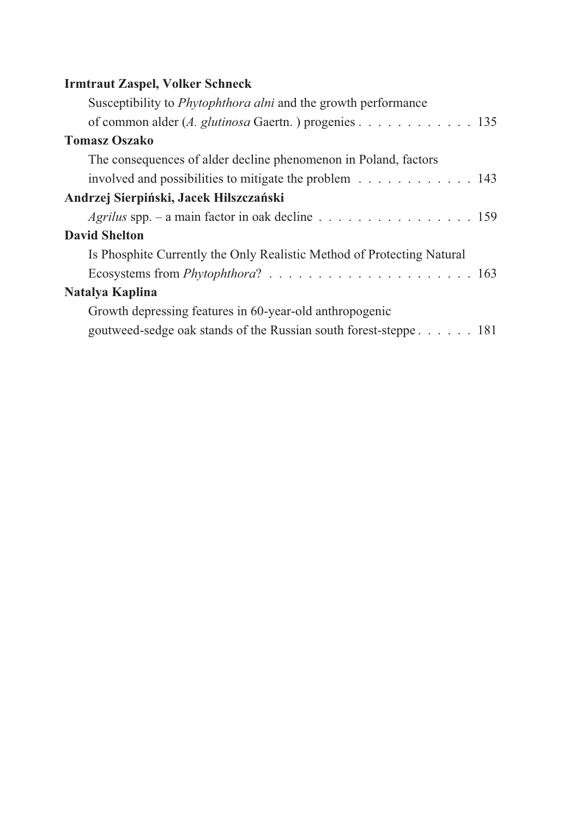## **Irmtraut Zaspel, Volker Schneck**

| Susceptibility to <i>Phytophthora alni</i> and the growth performance  |  |
|------------------------------------------------------------------------|--|
| of common alder (A. glutinosa Gaertn.) progenies 135                   |  |
| <b>Tomasz Oszako</b>                                                   |  |
| The consequences of alder decline phenomenon in Poland, factors        |  |
| involved and possibilities to mitigate the problem 143                 |  |
| Andrzej Sierpiński, Jacek Hilszczański                                 |  |
| <i>Agrilus</i> spp. – a main factor in oak decline 159                 |  |
| <b>David Shelton</b>                                                   |  |
| Is Phosphite Currently the Only Realistic Method of Protecting Natural |  |
|                                                                        |  |
| Natalya Kaplina                                                        |  |
| Growth depressing features in 60-year-old anthropogenic                |  |
| goutweed-sedge oak stands of the Russian south forest-steppe 181       |  |
|                                                                        |  |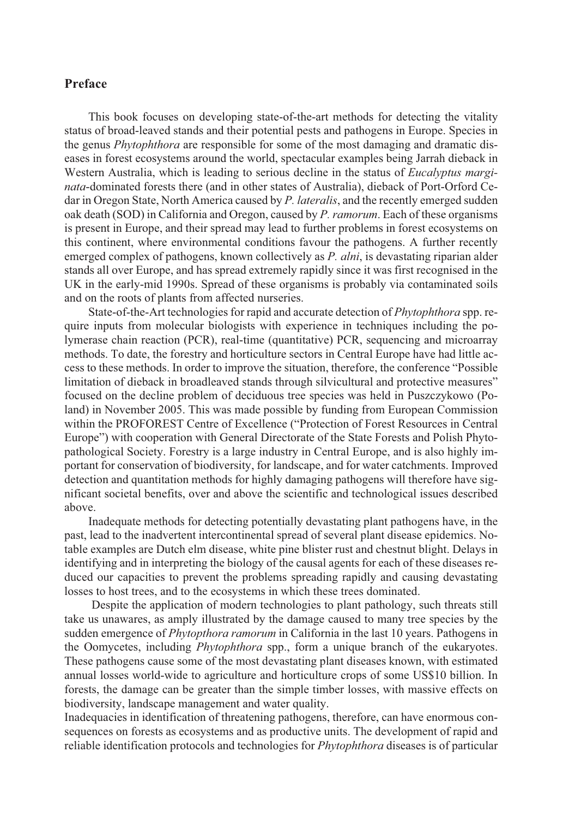### **Preface**

This book focuses on developing state-of-the-art methods for detecting the vitality status of broad-leaved stands and their potential pests and pathogens in Europe. Species in the genus *Phytophthora* are responsible for some of the most damaging and dramatic diseases in forest ecosystems around the world, spectacular examples being Jarrah dieback in Western Australia, which is leading to serious decline in the status of *Eucalyptus marginata*-dominated forests there (and in other states of Australia), dieback of Port-Orford Cedar in Oregon State, North America caused by *P. lateralis*, and the recently emerged sudden oak death (SOD) in California and Oregon, caused by *P. ramorum*. Each of these organisms is present in Europe, and their spread may lead to further problems in forest ecosystems on this continent, where environmental conditions favour the pathogens. A further recently emerged complex of pathogens, known collectively as *P. alni*, is devastating riparian alder stands all over Europe, and has spread extremely rapidly since it was first recognised in the UK in the early-mid 1990s. Spread of these organisms is probably via contaminated soils and on the roots of plants from affected nurseries.

State-of-the-Art technologies for rapid and accurate detection of *Phytophthora* spp. require inputs from molecular biologists with experience in techniques including the polymerase chain reaction (PCR), real-time (quantitative) PCR, sequencing and microarray methods. To date, the forestry and horticulture sectors in Central Europe have had little access to these methods. In order to improve the situation, therefore, the conference "Possible limitation of dieback in broadleaved stands through silvicultural and protective measures" focused on the decline problem of deciduous tree species was held in Puszczykowo (Poland) in November 2005. This was made possible by funding from European Commission within the PROFOREST Centre of Excellence ("Protection of Forest Resources in Central Europe") with cooperation with General Directorate of the State Forests and Polish Phytopathological Society. Forestry is a large industry in Central Europe, and is also highly important for conservation of biodiversity, for landscape, and for water catchments. Improved detection and quantitation methods for highly damaging pathogens will therefore have significant societal benefits, over and above the scientific and technological issues described above.

Inadequate methods for detecting potentially devastating plant pathogens have, in the past, lead to the inadvertent intercontinental spread of several plant disease epidemics. Notable examples are Dutch elm disease, white pine blister rust and chestnut blight. Delays in identifying and in interpreting the biology of the causal agents for each of these diseases reduced our capacities to prevent the problems spreading rapidly and causing devastating losses to host trees, and to the ecosystems in which these trees dominated.

Despite the application of modern technologies to plant pathology, such threats still take us unawares, as amply illustrated by the damage caused to many tree species by the sudden emergence of *Phytopthora ramorum* in California in the last 10 years. Pathogens in the Oomycetes, including *Phytophthora* spp., form a unique branch of the eukaryotes. These pathogens cause some of the most devastating plant diseases known, with estimated annual losses world-wide to agriculture and horticulture crops of some US\$10 billion. In forests, the damage can be greater than the simple timber losses, with massive effects on biodiversity, landscape management and water quality.

Inadequacies in identification of threatening pathogens, therefore, can have enormous consequences on forests as ecosystems and as productive units. The development of rapid and reliable identification protocols and technologies for *Phytophthora* diseases is of particular